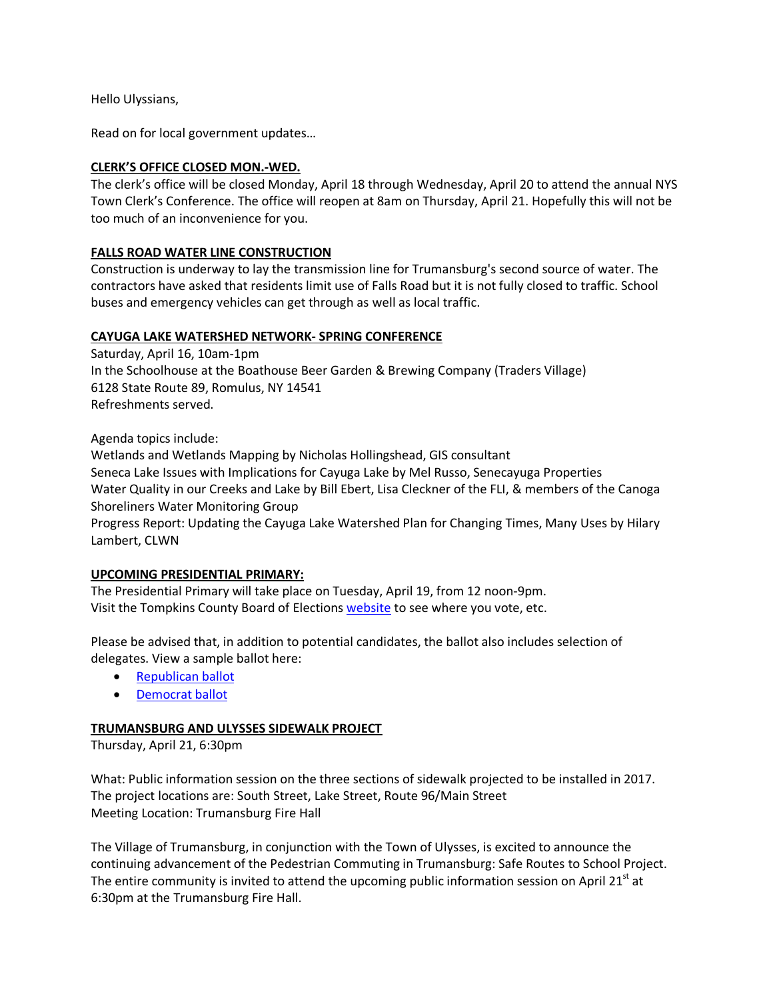Hello Ulyssians,

Read on for local government updates…

# **CLERK'S OFFICE CLOSED MON.-WED.**

The clerk's office will be closed Monday, April 18 through Wednesday, April 20 to attend the annual NYS Town Clerk's Conference. The office will reopen at 8am on Thursday, April 21. Hopefully this will not be too much of an inconvenience for you.

# **FALLS ROAD WATER LINE CONSTRUCTION**

Construction is underway to lay the transmission line for Trumansburg's second source of water. The contractors have asked that residents limit use of Falls Road but it is not fully closed to traffic. School buses and emergency vehicles can get through as well as local traffic.

# **CAYUGA LAKE WATERSHED NETWORK- SPRING CONFERENCE**

Saturday, April 16, 10am-1pm In the Schoolhouse at the Boathouse Beer Garden & Brewing Company (Traders Village) 6128 State Route 89, Romulus, NY 14541 Refreshments served.

Agenda topics include:

Wetlands and Wetlands Mapping by Nicholas Hollingshead, GIS consultant Seneca Lake Issues with Implications for Cayuga Lake by Mel Russo, Senecayuga Properties Water Quality in our Creeks and Lake by Bill Ebert, Lisa Cleckner of the FLI, & members of the Canoga Shoreliners Water Monitoring Group

Progress Report: Updating the Cayuga Lake Watershed Plan for Changing Times, Many Uses by Hilary Lambert, CLWN

### **UPCOMING PRESIDENTIAL PRIMARY:**

The Presidential Primary will take place on Tuesday, April 19, from 12 noon-9pm. Visit the Tompkins County Board of Elections [website](http://www.tompkinscountyny.gov/boe) to see where you vote, etc.

Please be advised that, in addition to potential candidates, the ballot also includes selection of delegates. View a sample ballot here:

- [Republican](http://www.tompkinscountyny.gov/files/boe/2016/Sample_Ballots/PRESPRI04192016REP.pdf) ballot
- [Democrat](http://www.tompkinscountyny.gov/files/boe/2016/Sample_Ballots/PRESPRI04192016DEM.pdf) ballot

### **TRUMANSBURG AND ULYSSES SIDEWALK PROJECT**

Thursday, April 21, 6:30pm

What: Public information session on the three sections of sidewalk projected to be installed in 2017. The project locations are: South Street, Lake Street, Route 96/Main Street Meeting Location: Trumansburg Fire Hall

The Village of Trumansburg, in conjunction with the Town of Ulysses, is excited to announce the continuing advancement of the Pedestrian Commuting in Trumansburg: Safe Routes to School Project. The entire community is invited to attend the upcoming public information session on April 21 $^{\text{st}}$  at 6:30pm at the Trumansburg Fire Hall.